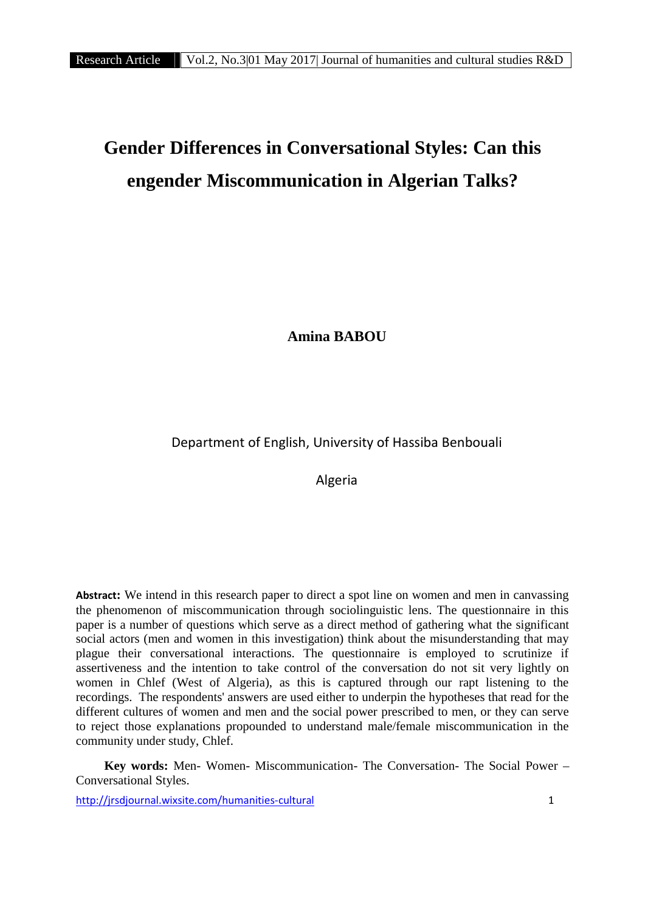# **Gender Differences in Conversational Styles: Can this engender Miscommunication in Algerian Talks?**

**Amina BABOU**

Department of English, University of Hassiba Benbouali

Algeria

**Abstract:** We intend in this research paper to direct a spot line on women and men in canvassing the phenomenon of miscommunication through sociolinguistic lens. The questionnaire in this paper is a number of questions which serve as a direct method of gathering what the significant social actors (men and women in this investigation) think about the misunderstanding that may plague their conversational interactions. The questionnaire is employed to scrutinize if assertiveness and the intention to take control of the conversation do not sit very lightly on women in Chlef (West of Algeria), as this is captured through our rapt listening to the recordings. The respondents' answers are used either to underpin the hypotheses that read for the different cultures of women and men and the social power prescribed to men, or they can serve to reject those explanations propounded to understand male/female miscommunication in the community under study, Chlef.

**Key words:** Men- Women- Miscommunication- The Conversation- The Social Power – Conversational Styles.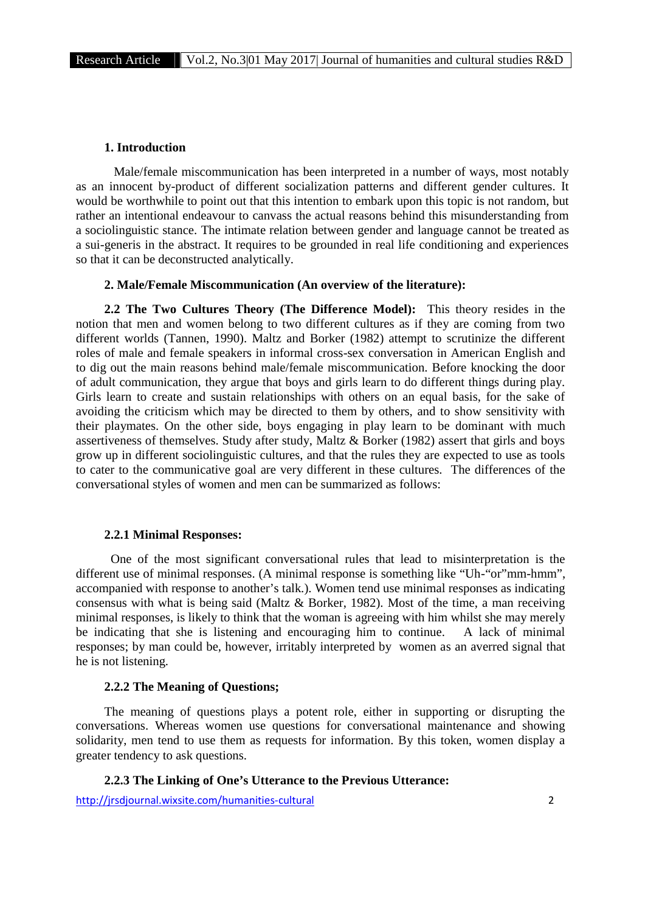## **1. Introduction**

Male/female miscommunication has been interpreted in a number of ways, most notably as an innocent by-product of different socialization patterns and different gender cultures. It would be worthwhile to point out that this intention to embark upon this topic is not random, but rather an intentional endeavour to canvass the actual reasons behind this misunderstanding from a sociolinguistic stance. The intimate relation between gender and language cannot be treated as a sui-generis in the abstract. It requires to be grounded in real life conditioning and experiences so that it can be deconstructed analytically.

#### **2. Male/Female Miscommunication (An overview of the literature):**

**2.2 The Two Cultures Theory (The Difference Model):** This theory resides in the notion that men and women belong to two different cultures as if they are coming from two different worlds (Tannen, 1990). Maltz and Borker (1982) attempt to scrutinize the different roles of male and female speakers in informal cross-sex conversation in American English and to dig out the main reasons behind male/female miscommunication. Before knocking the door of adult communication, they argue that boys and girls learn to do different things during play. Girls learn to create and sustain relationships with others on an equal basis, for the sake of avoiding the criticism which may be directed to them by others, and to show sensitivity with their playmates. On the other side, boys engaging in play learn to be dominant with much assertiveness of themselves. Study after study, Maltz & Borker (1982) assert that girls and boys grow up in different sociolinguistic cultures, and that the rules they are expected to use as tools to cater to the communicative goal are very different in these cultures. The differences of the conversational styles of women and men can be summarized as follows:

#### **2.2.1 Minimal Responses:**

One of the most significant conversational rules that lead to misinterpretation is the different use of minimal responses. (A minimal response is something like "Uh-"or"mm-hmm", accompanied with response to another's talk.). Women tend use minimal responses as indicating consensus with what is being said (Maltz & Borker, 1982). Most of the time, a man receiving minimal responses, is likely to think that the woman is agreeing with him whilst she may merely be indicating that she is listening and encouraging him to continue. A lack of minimal responses; by man could be, however, irritably interpreted by women as an averred signal that he is not listening.

#### **2.2.2 The Meaning of Questions;**

The meaning of questions plays a potent role, either in supporting or disrupting the conversations. Whereas women use questions for conversational maintenance and showing solidarity, men tend to use them as requests for information. By this token, women display a greater tendency to ask questions.

## **2.2.3 The Linking of One's Utterance to the Previous Utterance:**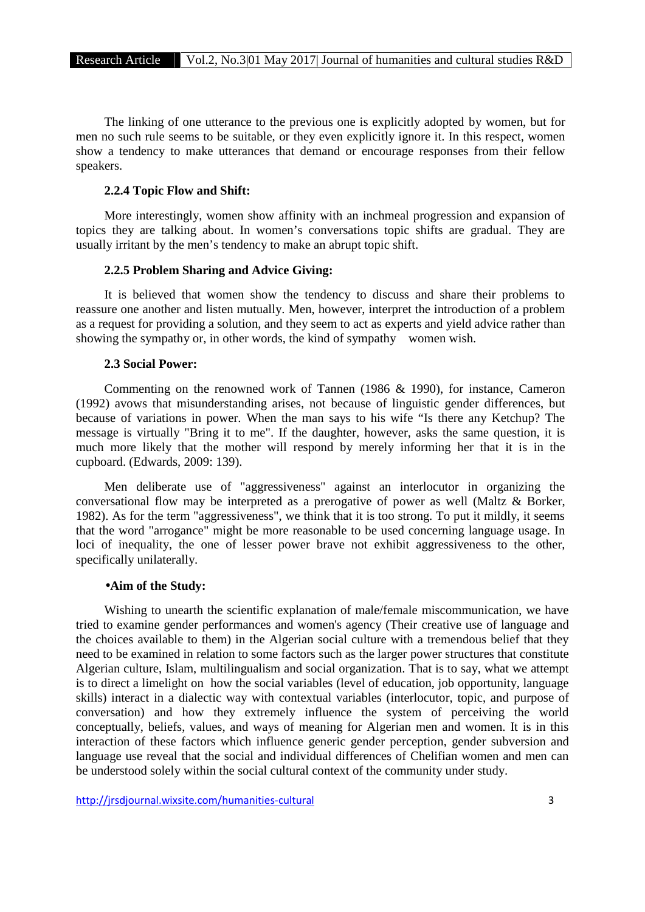The linking of one utterance to the previous one is explicitly adopted by women, but for men no such rule seems to be suitable, or they even explicitly ignore it. In this respect, women show a tendency to make utterances that demand or encourage responses from their fellow speakers.

#### **2.2.4 Topic Flow and Shift:**

More interestingly, women show affinity with an inchmeal progression and expansion of topics they are talking about. In women's conversations topic shifts are gradual. They are usually irritant by the men's tendency to make an abrupt topic shift.

## **2.2.5 Problem Sharing and Advice Giving:**

It is believed that women show the tendency to discuss and share their problems to reassure one another and listen mutually. Men, however, interpret the introduction of a problem as a request for providing a solution, and they seem to act as experts and yield advice rather than showing the sympathy or, in other words, the kind of sympathy women wish.

## **2.3 Social Power:**

Commenting on the renowned work of Tannen (1986 & 1990), for instance, Cameron (1992) avows that misunderstanding arises, not because of linguistic gender differences, but because of variations in power. When the man says to his wife "Is there any Ketchup? The message is virtually "Bring it to me". If the daughter, however, asks the same question, it is much more likely that the mother will respond by merely informing her that it is in the cupboard. (Edwards, 2009: 139).

Men deliberate use of "aggressiveness" against an interlocutor in organizing the conversational flow may be interpreted as a prerogative of power as well (Maltz & Borker, 1982). As for the term "aggressiveness", we think that it is too strong. To put it mildly, it seems that the word "arrogance" might be more reasonable to be used concerning language usage. In loci of inequality, the one of lesser power brave not exhibit aggressiveness to the other, specifically unilaterally.

## **Aim of the Study:**

Wishing to unearth the scientific explanation of male/female miscommunication, we have tried to examine gender performances and women's agency (Their creative use of language and the choices available to them) in the Algerian social culture with a tremendous belief that they need to be examined in relation to some factors such as the larger power structures that constitute Algerian culture, Islam, multilingualism and social organization. That is to say, what we attempt is to direct a limelight on how the social variables (level of education, job opportunity, language skills) interact in a dialectic way with contextual variables (interlocutor, topic, and purpose of conversation) and how they extremely influence the system of perceiving the world conceptually, beliefs, values, and ways of meaning for Algerian men and women. It is in this interaction of these factors which influence generic gender perception, gender subversion and language use reveal that the social and individual differences of Chelifian women and men can be understood solely within the social cultural context of the community under study.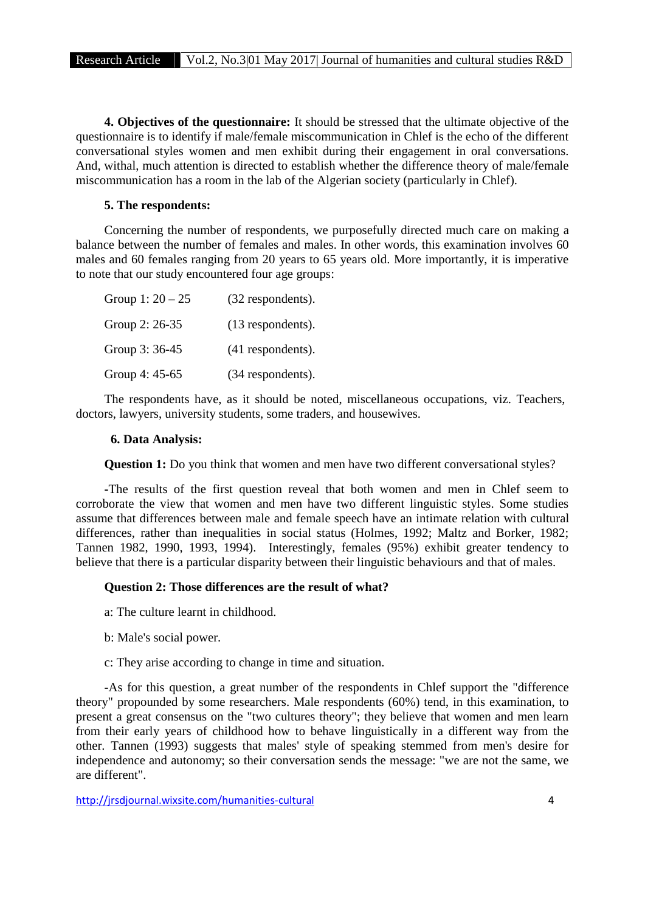**4. Objectives of the questionnaire:** It should be stressed that the ultimate objective of the questionnaire is to identify if male/female miscommunication in Chlef is the echo of the different conversational styles women and men exhibit during their engagement in oral conversations. And, withal, much attention is directed to establish whether the difference theory of male/female miscommunication has a room in the lab of the Algerian society (particularly in Chlef).

## **5. The respondents:**

Concerning the number of respondents, we purposefully directed much care on making a balance between the number of females and males. In other words, this examination involves 60 males and 60 females ranging from 20 years to 65 years old. More importantly, it is imperative to note that our study encountered four age groups:

| Group 1: $20 - 25$ | (32 respondents). |
|--------------------|-------------------|
| Group 2: 26-35     | (13 respondents). |
| Group 3: 36-45     | (41 respondents). |
| Group 4: 45-65     | (34 respondents). |

The respondents have, as it should be noted, miscellaneous occupations, viz. Teachers, doctors, lawyers, university students, some traders, and housewives.

#### **6. Data Analysis:**

**Question 1:** Do you think that women and men have two different conversational styles?

**-**The results of the first question reveal that both women and men in Chlef seem to corroborate the view that women and men have two different linguistic styles. Some studies assume that differences between male and female speech have an intimate relation with cultural differences, rather than inequalities in social status (Holmes, 1992; Maltz and Borker, 1982; Tannen 1982, 1990, 1993, 1994). Interestingly, females (95%) exhibit greater tendency to believe that there is a particular disparity between their linguistic behaviours and that of males.

## **Question 2: Those differences are the result of what?**

a: The culture learnt in childhood.

- b: Male's social power.
- c: They arise according to change in time and situation.

-As for this question, a great number of the respondents in Chlef support the "difference theory" propounded by some researchers. Male respondents (60%) tend, in this examination, to present a great consensus on the "two cultures theory"; they believe that women and men learn from their early years of childhood how to behave linguistically in a different way from the other. Tannen (1993) suggests that males' style of speaking stemmed from men's desire for independence and autonomy; so their conversation sends the message: "we are not the same, we are different".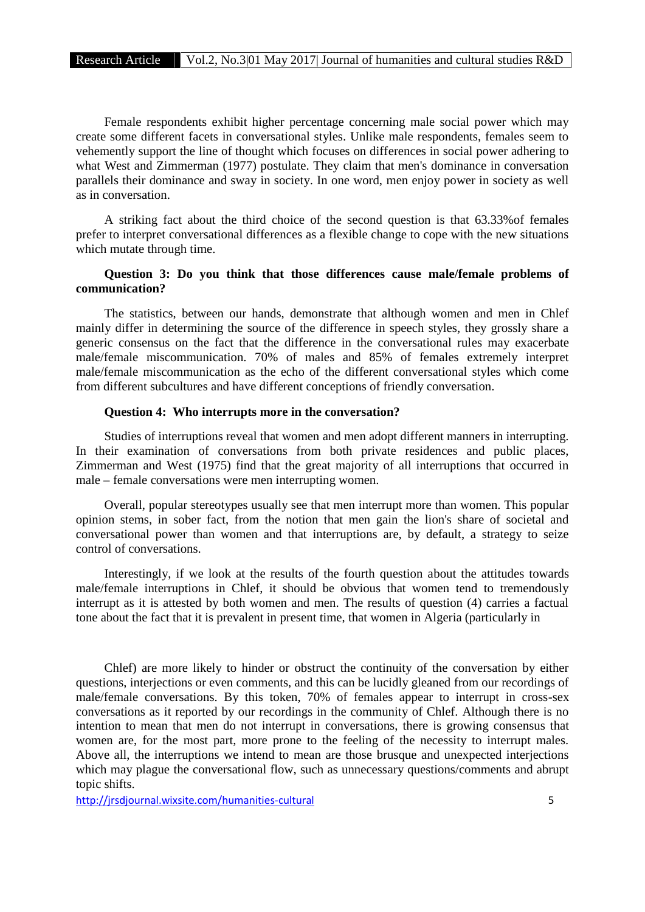Female respondents exhibit higher percentage concerning male social power which may create some different facets in conversational styles. Unlike male respondents, females seem to vehemently support the line of thought which focuses on differences in social power adhering to what West and Zimmerman (1977) postulate. They claim that men's dominance in conversation parallels their dominance and sway in society. In one word, men enjoy power in society as well as in conversation.

A striking fact about the third choice of the second question is that 63.33%of females prefer to interpret conversational differences as a flexible change to cope with the new situations which mutate through time.

# **Question 3: Do you think that those differences cause male/female problems of communication?**

The statistics, between our hands, demonstrate that although women and men in Chlef mainly differ in determining the source of the difference in speech styles, they grossly share a generic consensus on the fact that the difference in the conversational rules may exacerbate male/female miscommunication. 70% of males and 85% of females extremely interpret male/female miscommunication as the echo of the different conversational styles which come from different subcultures and have different conceptions of friendly conversation.

## **Question 4: Who interrupts more in the conversation?**

Studies of interruptions reveal that women and men adopt different manners in interrupting. In their examination of conversations from both private residences and public places, Zimmerman and West (1975) find that the great majority of all interruptions that occurred in male – female conversations were men interrupting women.

Overall, popular stereotypes usually see that men interrupt more than women. This popular opinion stems, in sober fact, from the notion that men gain the lion's share of societal and conversational power than women and that interruptions are, by default, a strategy to seize control of conversations.

Interestingly, if we look at the results of the fourth question about the attitudes towards male/female interruptions in Chlef, it should be obvious that women tend to tremendously interrupt as it is attested by both women and men. The results of question (4) carries a factual tone about the fact that it is prevalent in present time, that women in Algeria (particularly in

Chlef) are more likely to hinder or obstruct the continuity of the conversation by either questions, interjections or even comments, and this can be lucidly gleaned from our recordings of male/female conversations. By this token, 70% of females appear to interrupt in cross-sex conversations as it reported by our recordings in the community of Chlef. Although there is no intention to mean that men do not interrupt in conversations, there is growing consensus that women are, for the most part, more prone to the feeling of the necessity to interrupt males. Above all, the interruptions we intend to mean are those brusque and unexpected interjections which may plague the conversational flow, such as unnecessary questions/comments and abrupt topic shifts.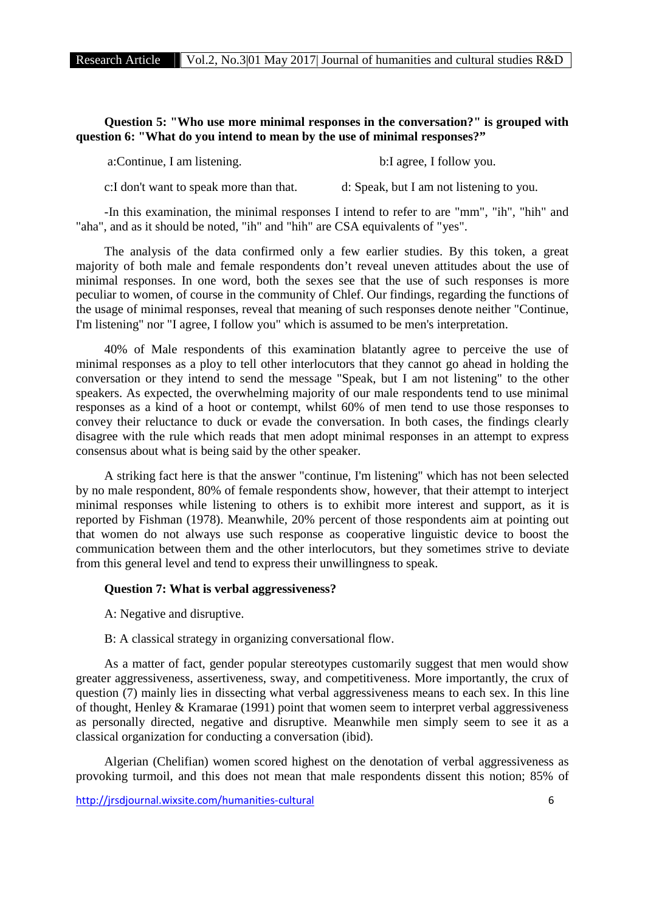# **Question 5: "Who use more minimal responses in the conversation?" is grouped with question 6: "What do you intend to mean by the use of minimal responses?"**

a:Continue, I am listening. b:I agree, I follow you.

c:I don't want to speak more than that. d: Speak, but I am not listening to you.

-In this examination, the minimal responses I intend to refer to are "mm", "ih", "hih" and "aha", and as it should be noted, "ih" and "hih" are CSA equivalents of "yes".

The analysis of the data confirmed only a few earlier studies. By this token, a great majority of both male and female respondents don't reveal uneven attitudes about the use of minimal responses. In one word, both the sexes see that the use of such responses is more peculiar to women, of course in the community of Chlef. Our findings, regarding the functions of the usage of minimal responses, reveal that meaning of such responses denote neither "Continue, I'm listening" nor "I agree, I follow you" which is assumed to be men's interpretation.

40% of Male respondents of this examination blatantly agree to perceive the use of minimal responses as a ploy to tell other interlocutors that they cannot go ahead in holding the conversation or they intend to send the message "Speak, but I am not listening" to the other speakers. As expected, the overwhelming majority of our male respondents tend to use minimal responses as a kind of a hoot or contempt, whilst 60% of men tend to use those responses to convey their reluctance to duck or evade the conversation. In both cases, the findings clearly disagree with the rule which reads that men adopt minimal responses in an attempt to express consensus about what is being said by the other speaker.

A striking fact here is that the answer "continue, I'm listening" which has not been selected by no male respondent, 80% of female respondents show, however, that their attempt to interject minimal responses while listening to others is to exhibit more interest and support, as it is reported by Fishman (1978). Meanwhile, 20% percent of those respondents aim at pointing out that women do not always use such response as cooperative linguistic device to boost the communication between them and the other interlocutors, but they sometimes strive to deviate from this general level and tend to express their unwillingness to speak.

## **Question 7: What is verbal aggressiveness?**

A: Negative and disruptive.

B: A classical strategy in organizing conversational flow.

As a matter of fact, gender popular stereotypes customarily suggest that men would show greater aggressiveness, assertiveness, sway, and competitiveness. More importantly, the crux of question (7) mainly lies in dissecting what verbal aggressiveness means to each sex. In this line of thought, Henley & Kramarae (1991) point that women seem to interpret verbal aggressiveness as personally directed, negative and disruptive. Meanwhile men simply seem to see it as a classical organization for conducting a conversation (ibid).

Algerian (Chelifian) women scored highest on the denotation of verbal aggressiveness as provoking turmoil, and this does not mean that male respondents dissent this notion; 85% of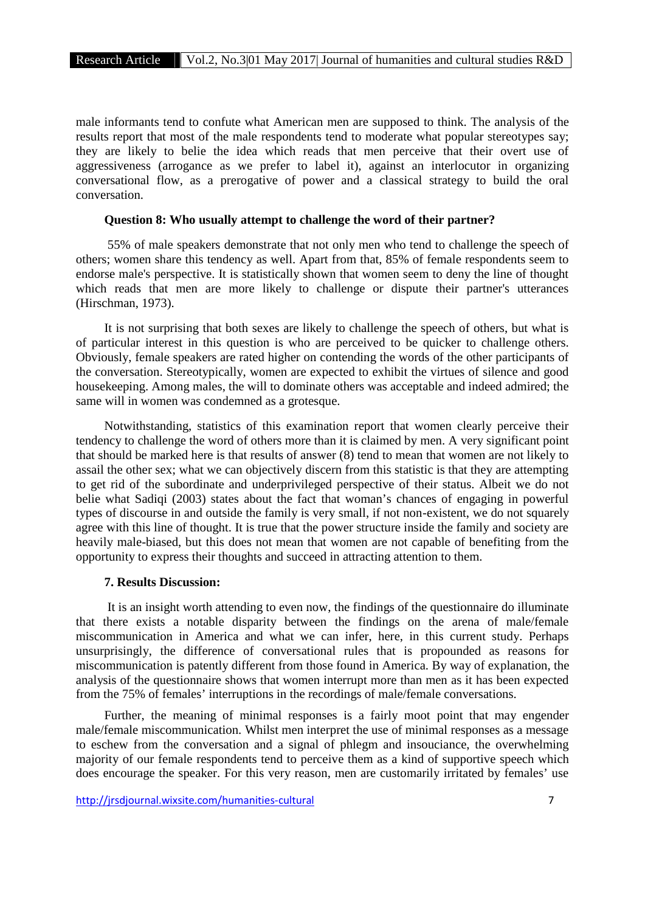male informants tend to confute what American men are supposed to think. The analysis of the results report that most of the male respondents tend to moderate what popular stereotypes say; they are likely to belie the idea which reads that men perceive that their overt use of aggressiveness (arrogance as we prefer to label it), against an interlocutor in organizing conversational flow, as a prerogative of power and a classical strategy to build the oral conversation.

## **Question 8: Who usually attempt to challenge the word of their partner?**

55% of male speakers demonstrate that not only men who tend to challenge the speech of others; women share this tendency as well. Apart from that, 85% of female respondents seem to endorse male's perspective. It is statistically shown that women seem to deny the line of thought which reads that men are more likely to challenge or dispute their partner's utterances (Hirschman, 1973).

It is not surprising that both sexes are likely to challenge the speech of others, but what is of particular interest in this question is who are perceived to be quicker to challenge others. Obviously, female speakers are rated higher on contending the words of the other participants of the conversation. Stereotypically, women are expected to exhibit the virtues of silence and good housekeeping. Among males, the will to dominate others was acceptable and indeed admired; the same will in women was condemned as a grotesque.

Notwithstanding, statistics of this examination report that women clearly perceive their tendency to challenge the word of others more than it is claimed by men. A very significant point that should be marked here is that results of answer (8) tend to mean that women are not likely to assail the other sex; what we can objectively discern from this statistic is that they are attempting to get rid of the subordinate and underprivileged perspective of their status. Albeit we do not belie what Sadiqi (2003) states about the fact that woman's chances of engaging in powerful types of discourse in and outside the family is very small, if not non-existent, we do not squarely agree with this line of thought. It is true that the power structure inside the family and society are heavily male-biased, but this does not mean that women are not capable of benefiting from the opportunity to express their thoughts and succeed in attracting attention to them.

## **7. Results Discussion:**

It is an insight worth attending to even now, the findings of the questionnaire do illuminate that there exists a notable disparity between the findings on the arena of male/female miscommunication in America and what we can infer, here, in this current study. Perhaps unsurprisingly, the difference of conversational rules that is propounded as reasons for miscommunication is patently different from those found in America. By way of explanation, the analysis of the questionnaire shows that women interrupt more than men as it has been expected from the 75% of females' interruptions in the recordings of male/female conversations.

Further, the meaning of minimal responses is a fairly moot point that may engender male/female miscommunication. Whilst men interpret the use of minimal responses as a message to eschew from the conversation and a signal of phlegm and insouciance, the overwhelming majority of our female respondents tend to perceive them as a kind of supportive speech which does encourage the speaker. For this very reason, men are customarily irritated by females' use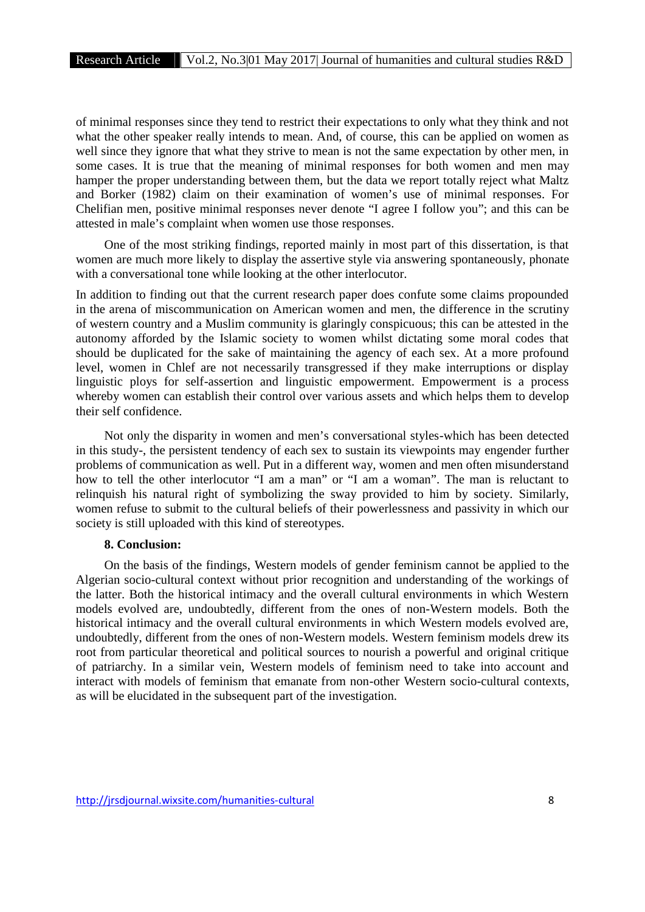of minimal responses since they tend to restrict their expectations to only what they think and not what the other speaker really intends to mean. And, of course, this can be applied on women as well since they ignore that what they strive to mean is not the same expectation by other men, in some cases. It is true that the meaning of minimal responses for both women and men may hamper the proper understanding between them, but the data we report totally reject what Maltz and Borker (1982) claim on their examination of women's use of minimal responses. For Chelifian men, positive minimal responses never denote "I agree I follow you"; and this can be attested in male's complaint when women use those responses.

One of the most striking findings, reported mainly in most part of this dissertation, is that women are much more likely to display the assertive style via answering spontaneously, phonate with a conversational tone while looking at the other interlocutor.

In addition to finding out that the current research paper does confute some claims propounded in the arena of miscommunication on American women and men, the difference in the scrutiny of western country and a Muslim community is glaringly conspicuous; this can be attested in the autonomy afforded by the Islamic society to women whilst dictating some moral codes that should be duplicated for the sake of maintaining the agency of each sex. At a more profound level, women in Chlef are not necessarily transgressed if they make interruptions or display linguistic ploys for self-assertion and linguistic empowerment. Empowerment is a process whereby women can establish their control over various assets and which helps them to develop their self confidence.

Not only the disparity in women and men's conversational styles-which has been detected in this study-, the persistent tendency of each sex to sustain its viewpoints may engender further problems of communication as well. Put in a different way, women and men often misunderstand how to tell the other interlocutor "I am a man" or "I am a woman". The man is reluctant to relinquish his natural right of symbolizing the sway provided to him by society. Similarly, women refuse to submit to the cultural beliefs of their powerlessness and passivity in which our society is still uploaded with this kind of stereotypes.

## **8. Conclusion:**

On the basis of the findings, Western models of gender feminism cannot be applied to the Algerian socio-cultural context without prior recognition and understanding of the workings of the latter. Both the historical intimacy and the overall cultural environments in which Western models evolved are, undoubtedly, different from the ones of non-Western models. Both the historical intimacy and the overall cultural environments in which Western models evolved are, undoubtedly, different from the ones of non-Western models. Western feminism models drew its root from particular theoretical and political sources to nourish a powerful and original critique of patriarchy. In a similar vein, Western models of feminism need to take into account and interact with models of feminism that emanate from non-other Western socio-cultural contexts, as will be elucidated in the subsequent part of the investigation.